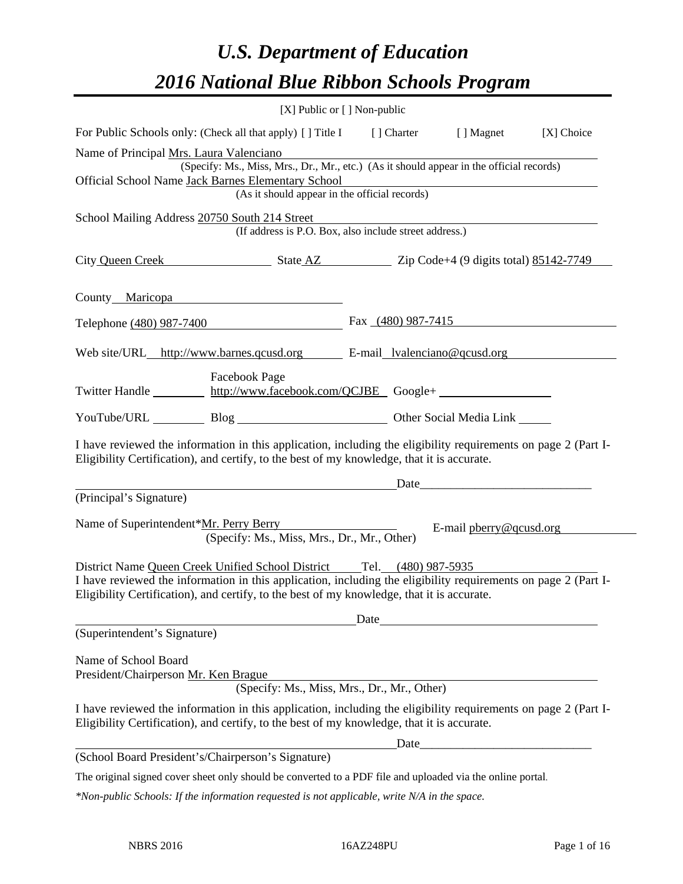# *U.S. Department of Education 2016 National Blue Ribbon Schools Program*

| [X] Public or [] Non-public                                                                                                                                                                                                                                                           |      |       |                                                                                                                      |            |
|---------------------------------------------------------------------------------------------------------------------------------------------------------------------------------------------------------------------------------------------------------------------------------------|------|-------|----------------------------------------------------------------------------------------------------------------------|------------|
| For Public Schools only: (Check all that apply) [] Title I [] Charter [] Magnet                                                                                                                                                                                                       |      |       |                                                                                                                      | [X] Choice |
| Name of Principal Mrs. Laura Valenciano<br>(Specify: Ms., Miss, Mrs., Dr., Mr., etc.) (As it should appear in the official records)                                                                                                                                                   |      |       |                                                                                                                      |            |
| Official School Name Jack Barnes Elementary School                                                                                                                                                                                                                                    |      |       |                                                                                                                      |            |
| (As it should appear in the official records)                                                                                                                                                                                                                                         |      |       |                                                                                                                      |            |
| School Mailing Address 20750 South 214 Street<br>(If address is P.O. Box, also include street address.)                                                                                                                                                                               |      |       |                                                                                                                      |            |
| City Queen Creek State AZ Zip Code+4 (9 digits total) 85142-7749                                                                                                                                                                                                                      |      |       |                                                                                                                      |            |
| County Maricopa                                                                                                                                                                                                                                                                       |      |       |                                                                                                                      |            |
| Telephone (480) 987-7400 Fax (480) 987-7415                                                                                                                                                                                                                                           |      |       |                                                                                                                      |            |
| Web site/URL_http://www.barnes.qcusd.org E-mail_lvalenciano@qcusd.org                                                                                                                                                                                                                 |      |       |                                                                                                                      |            |
| <b>Facebook Page</b><br>Twitter Handle http://www.facebook.com/QCJBE Google+                                                                                                                                                                                                          |      |       |                                                                                                                      |            |
| YouTube/URL Blog Blog Discount Other Social Media Link                                                                                                                                                                                                                                |      |       |                                                                                                                      |            |
| I have reviewed the information in this application, including the eligibility requirements on page 2 (Part I-<br>Eligibility Certification), and certify, to the best of my knowledge, that it is accurate.                                                                          |      |       |                                                                                                                      |            |
| <u>Date</u> <u>Date</u>                                                                                                                                                                                                                                                               |      |       |                                                                                                                      |            |
| (Principal's Signature)                                                                                                                                                                                                                                                               |      |       |                                                                                                                      |            |
| Name of Superintendent*Mr. Perry Berry<br>(Specify: Ms., Miss, Mrs., Dr., Mr., Other)                                                                                                                                                                                                 |      |       | E-mail $\frac{\text{p} \cdot \text{p} \cdot \text{p}}{\text{p} \cdot \text{p} \cdot \text{p}}$                       |            |
| District Name Queen Creek Unified School District Tel. (480) 987-5935<br>I have reviewed the information in this application, including the eligibility requirements on page 2 (Part I-<br>Eligibility Certification), and certify, to the best of my knowledge, that it is accurate. |      |       |                                                                                                                      |            |
|                                                                                                                                                                                                                                                                                       | Date |       | <u> 1989 - Johann Barn, mars ar breis besteht fan de ferstjerke fan de ferstjerke fan de ferstjerke fan de ferst</u> |            |
| (Superintendent's Signature)                                                                                                                                                                                                                                                          |      |       |                                                                                                                      |            |
| Name of School Board<br>President/Chairperson Mr. Ken Brague<br>(Specify: Ms., Miss, Mrs., Dr., Mr., Other)                                                                                                                                                                           |      |       |                                                                                                                      |            |
| I have reviewed the information in this application, including the eligibility requirements on page 2 (Part I-<br>Eligibility Certification), and certify, to the best of my knowledge, that it is accurate.                                                                          |      |       |                                                                                                                      |            |
|                                                                                                                                                                                                                                                                                       |      | Date_ |                                                                                                                      |            |
| (School Board President's/Chairperson's Signature)                                                                                                                                                                                                                                    |      |       |                                                                                                                      |            |
| The original signed cover sheet only should be converted to a PDF file and uploaded via the online portal.                                                                                                                                                                            |      |       |                                                                                                                      |            |
|                                                                                                                                                                                                                                                                                       |      |       |                                                                                                                      |            |

*\*Non-public Schools: If the information requested is not applicable, write N/A in the space.*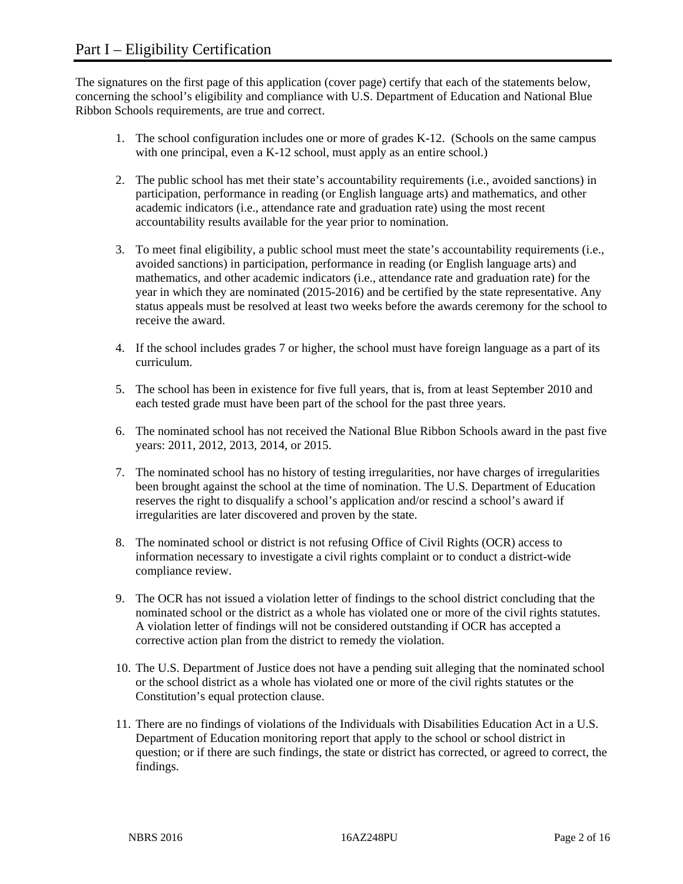The signatures on the first page of this application (cover page) certify that each of the statements below, concerning the school's eligibility and compliance with U.S. Department of Education and National Blue Ribbon Schools requirements, are true and correct.

- 1. The school configuration includes one or more of grades K-12. (Schools on the same campus with one principal, even a K-12 school, must apply as an entire school.)
- 2. The public school has met their state's accountability requirements (i.e., avoided sanctions) in participation, performance in reading (or English language arts) and mathematics, and other academic indicators (i.e., attendance rate and graduation rate) using the most recent accountability results available for the year prior to nomination.
- 3. To meet final eligibility, a public school must meet the state's accountability requirements (i.e., avoided sanctions) in participation, performance in reading (or English language arts) and mathematics, and other academic indicators (i.e., attendance rate and graduation rate) for the year in which they are nominated (2015-2016) and be certified by the state representative. Any status appeals must be resolved at least two weeks before the awards ceremony for the school to receive the award.
- 4. If the school includes grades 7 or higher, the school must have foreign language as a part of its curriculum.
- 5. The school has been in existence for five full years, that is, from at least September 2010 and each tested grade must have been part of the school for the past three years.
- 6. The nominated school has not received the National Blue Ribbon Schools award in the past five years: 2011, 2012, 2013, 2014, or 2015.
- 7. The nominated school has no history of testing irregularities, nor have charges of irregularities been brought against the school at the time of nomination. The U.S. Department of Education reserves the right to disqualify a school's application and/or rescind a school's award if irregularities are later discovered and proven by the state.
- 8. The nominated school or district is not refusing Office of Civil Rights (OCR) access to information necessary to investigate a civil rights complaint or to conduct a district-wide compliance review.
- 9. The OCR has not issued a violation letter of findings to the school district concluding that the nominated school or the district as a whole has violated one or more of the civil rights statutes. A violation letter of findings will not be considered outstanding if OCR has accepted a corrective action plan from the district to remedy the violation.
- 10. The U.S. Department of Justice does not have a pending suit alleging that the nominated school or the school district as a whole has violated one or more of the civil rights statutes or the Constitution's equal protection clause.
- 11. There are no findings of violations of the Individuals with Disabilities Education Act in a U.S. Department of Education monitoring report that apply to the school or school district in question; or if there are such findings, the state or district has corrected, or agreed to correct, the findings.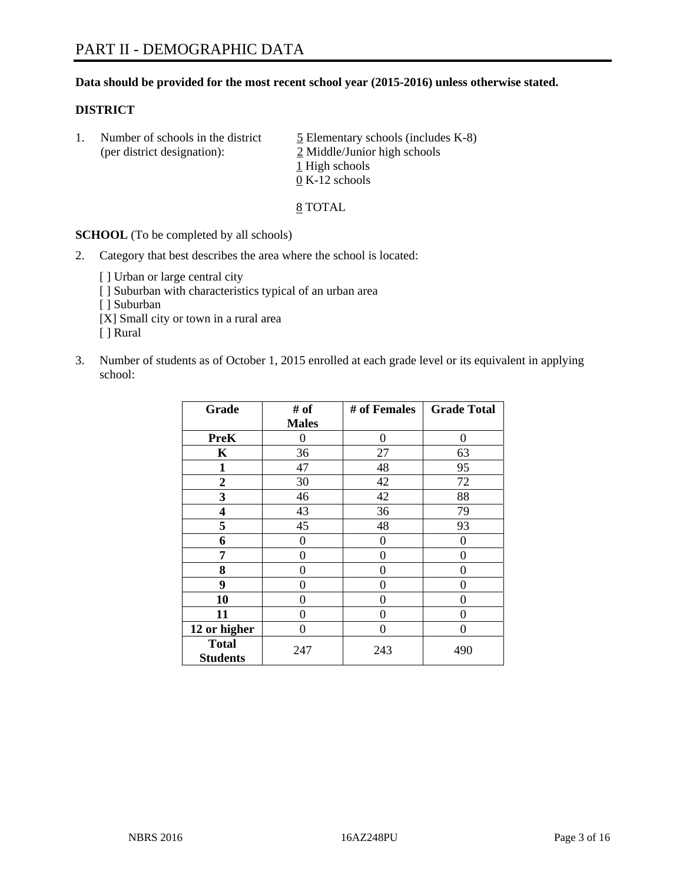#### **Data should be provided for the most recent school year (2015-2016) unless otherwise stated.**

#### **DISTRICT**

1. Number of schools in the district  $\frac{5}{2}$  Elementary schools (includes K-8) (per district designation): 2 Middle/Junior high schools 1 High schools 0 K-12 schools

8 TOTAL

**SCHOOL** (To be completed by all schools)

- 2. Category that best describes the area where the school is located:
	- [] Urban or large central city [ ] Suburban with characteristics typical of an urban area [ ] Suburban [X] Small city or town in a rural area [ ] Rural
- 3. Number of students as of October 1, 2015 enrolled at each grade level or its equivalent in applying school:

| Grade                           | # of         | # of Females | <b>Grade Total</b> |
|---------------------------------|--------------|--------------|--------------------|
|                                 | <b>Males</b> |              |                    |
| <b>PreK</b>                     | 0            | 0            | 0                  |
| $\mathbf K$                     | 36           | 27           | 63                 |
| 1                               | 47           | 48           | 95                 |
| $\overline{2}$                  | 30           | 42           | 72                 |
| 3                               | 46           | 42           | 88                 |
| $\overline{\mathbf{4}}$         | 43           | 36           | 79                 |
| 5                               | 45           | 48           | 93                 |
| 6                               | $\theta$     | $\theta$     | 0                  |
| 7                               | 0            | 0            | 0                  |
| 8                               | 0            | $\theta$     | 0                  |
| 9                               | 0            | 0            | $\theta$           |
| 10                              | 0            | 0            | $\Omega$           |
| 11                              | 0            | 0            | $\Omega$           |
| 12 or higher                    | 0            | 0            | 0                  |
| <b>Total</b><br><b>Students</b> | 247          | 243          | 490                |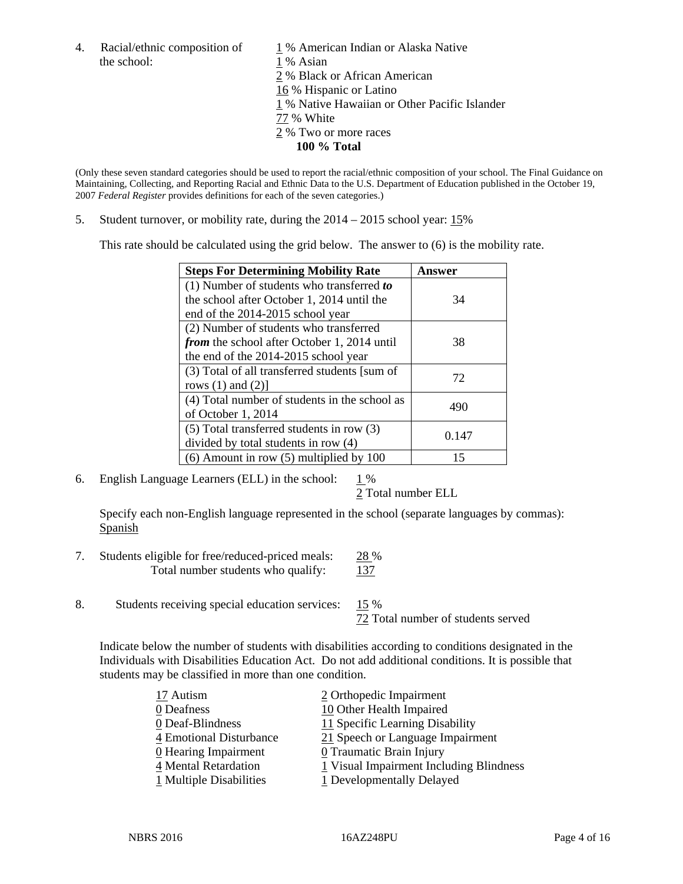the school: 1 % Asian

4. Racial/ethnic composition of  $1\%$  American Indian or Alaska Native 2 % Black or African American 16 % Hispanic or Latino 1 % Native Hawaiian or Other Pacific Islander 77 % White 2 % Two or more races **100 % Total** 

(Only these seven standard categories should be used to report the racial/ethnic composition of your school. The Final Guidance on Maintaining, Collecting, and Reporting Racial and Ethnic Data to the U.S. Department of Education published in the October 19, 2007 *Federal Register* provides definitions for each of the seven categories.)

5. Student turnover, or mobility rate, during the 2014 – 2015 school year: 15%

This rate should be calculated using the grid below. The answer to (6) is the mobility rate.

| <b>Steps For Determining Mobility Rate</b>         | Answer |  |
|----------------------------------------------------|--------|--|
| (1) Number of students who transferred to          |        |  |
| the school after October 1, 2014 until the         | 34     |  |
| end of the 2014-2015 school year                   |        |  |
| (2) Number of students who transferred             |        |  |
| <i>from</i> the school after October 1, 2014 until | 38     |  |
| the end of the 2014-2015 school year               |        |  |
| (3) Total of all transferred students [sum of      | 72     |  |
| rows $(1)$ and $(2)$ ]                             |        |  |
| (4) Total number of students in the school as      | 490    |  |
| of October 1, 2014                                 |        |  |
| (5) Total transferred students in row (3)          | 0.147  |  |
| divided by total students in row (4)               |        |  |
| $(6)$ Amount in row $(5)$ multiplied by 100        | 15     |  |

6. English Language Learners (ELL) in the school:  $1\%$ 

2 Total number ELL

 Specify each non-English language represented in the school (separate languages by commas): **Spanish** 

- 7. Students eligible for free/reduced-priced meals: 28 % Total number students who qualify: 137
- 8. Students receiving special education services: 15 %

72 Total number of students served

Indicate below the number of students with disabilities according to conditions designated in the Individuals with Disabilities Education Act. Do not add additional conditions. It is possible that students may be classified in more than one condition.

| 17 Autism               | 2 Orthopedic Impairment                 |
|-------------------------|-----------------------------------------|
| 0 Deafness              | 10 Other Health Impaired                |
| 0 Deaf-Blindness        | 11 Specific Learning Disability         |
| 4 Emotional Disturbance | 21 Speech or Language Impairment        |
| 0 Hearing Impairment    | 0 Traumatic Brain Injury                |
| 4 Mental Retardation    | 1 Visual Impairment Including Blindness |
| 1 Multiple Disabilities | 1 Developmentally Delayed               |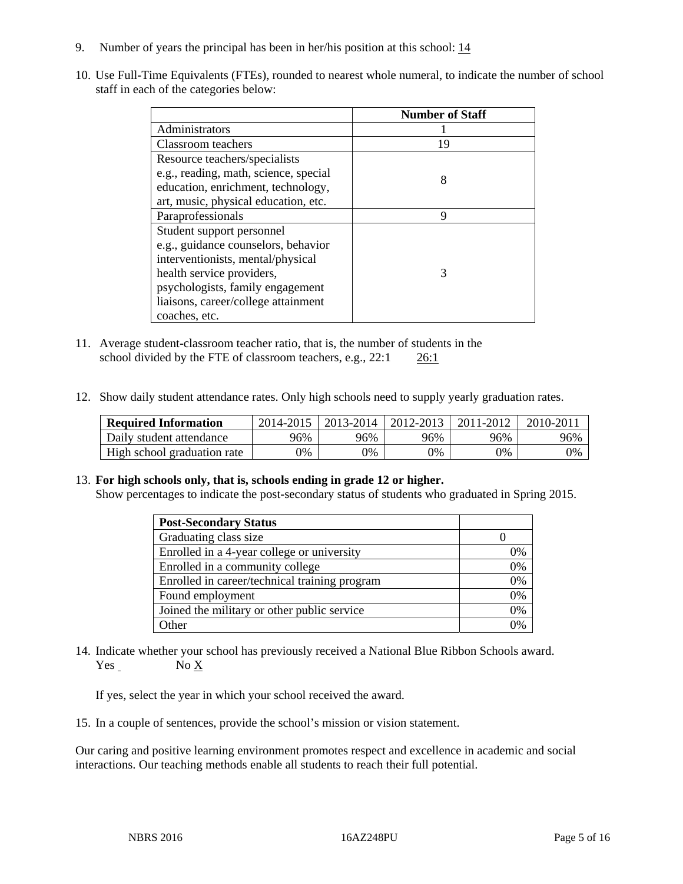- 9. Number of years the principal has been in her/his position at this school:  $\frac{14}{1}$
- 10. Use Full-Time Equivalents (FTEs), rounded to nearest whole numeral, to indicate the number of school staff in each of the categories below:

|                                       | <b>Number of Staff</b> |
|---------------------------------------|------------------------|
| Administrators                        |                        |
| Classroom teachers                    | 19                     |
| Resource teachers/specialists         |                        |
| e.g., reading, math, science, special | 8                      |
| education, enrichment, technology,    |                        |
| art, music, physical education, etc.  |                        |
| Paraprofessionals                     | 9                      |
| Student support personnel             |                        |
| e.g., guidance counselors, behavior   |                        |
| interventionists, mental/physical     |                        |
| health service providers,             | 3                      |
| psychologists, family engagement      |                        |
| liaisons, career/college attainment   |                        |
| coaches, etc.                         |                        |

- 11. Average student-classroom teacher ratio, that is, the number of students in the school divided by the FTE of classroom teachers, e.g., 22:1 26:1
- 12. Show daily student attendance rates. Only high schools need to supply yearly graduation rates.

| <b>Required Information</b> | 2014-2015 | 2013-2014 | 2012-2013 | 2011-2012 | 2010-2011 |
|-----------------------------|-----------|-----------|-----------|-----------|-----------|
| Daily student attendance    | 96%       | 96%       | 96%       | 96%       | 96%       |
| High school graduation rate | 9%        | 0%        | 0%        | 9%        | 0%        |

#### 13. **For high schools only, that is, schools ending in grade 12 or higher.**

Show percentages to indicate the post-secondary status of students who graduated in Spring 2015.

| <b>Post-Secondary Status</b>                  |    |
|-----------------------------------------------|----|
| Graduating class size                         |    |
| Enrolled in a 4-year college or university    | 0% |
| Enrolled in a community college               | 0% |
| Enrolled in career/technical training program | 0% |
| Found employment                              | 0% |
| Joined the military or other public service   | 0% |
| <b>Other</b>                                  |    |

14. Indicate whether your school has previously received a National Blue Ribbon Schools award. Yes No X

If yes, select the year in which your school received the award.

15. In a couple of sentences, provide the school's mission or vision statement.

Our caring and positive learning environment promotes respect and excellence in academic and social interactions. Our teaching methods enable all students to reach their full potential.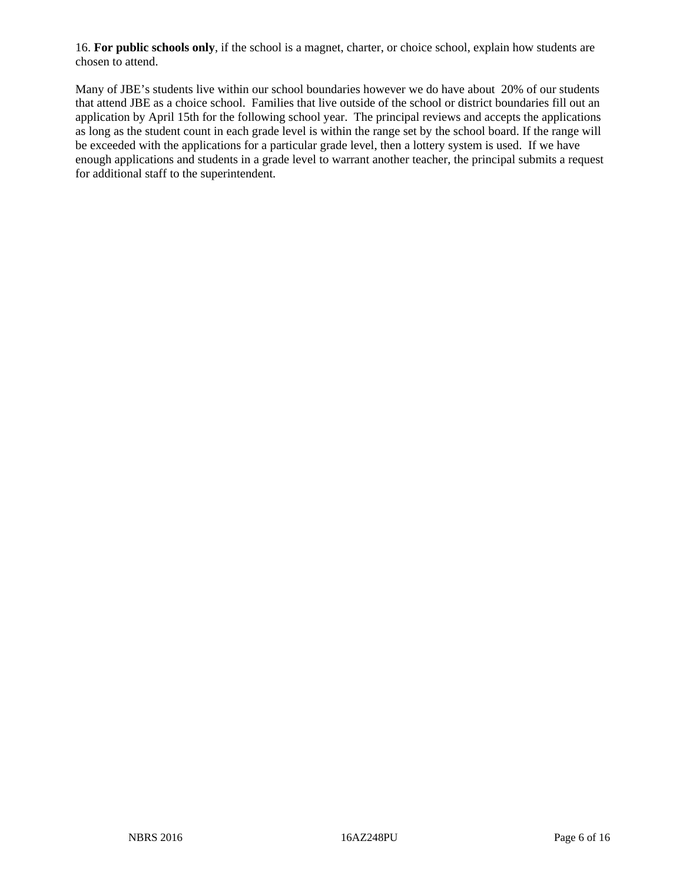16. **For public schools only**, if the school is a magnet, charter, or choice school, explain how students are chosen to attend.

Many of JBE's students live within our school boundaries however we do have about 20% of our students that attend JBE as a choice school. Families that live outside of the school or district boundaries fill out an application by April 15th for the following school year. The principal reviews and accepts the applications as long as the student count in each grade level is within the range set by the school board. If the range will be exceeded with the applications for a particular grade level, then a lottery system is used. If we have enough applications and students in a grade level to warrant another teacher, the principal submits a request for additional staff to the superintendent.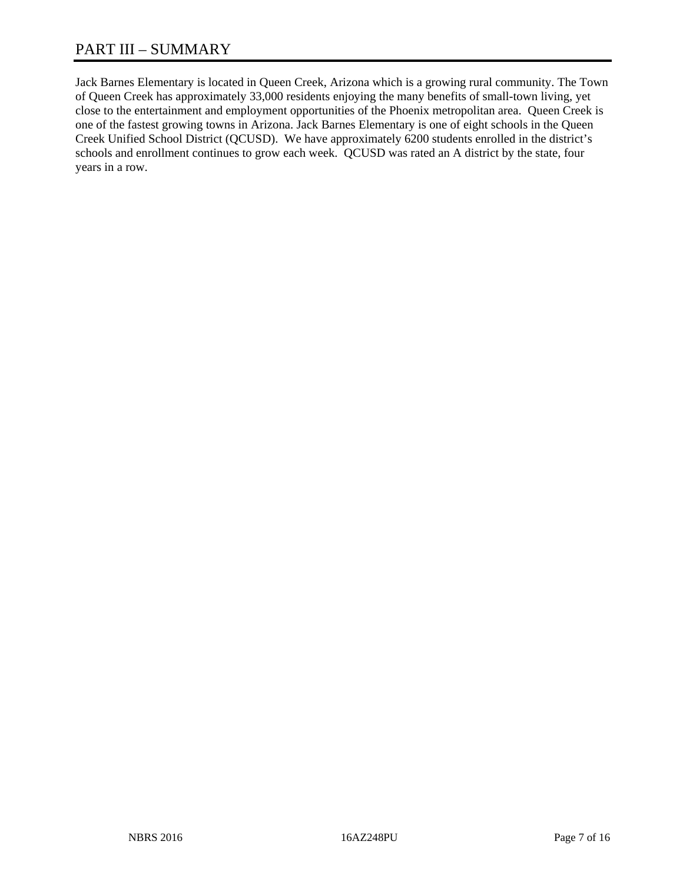## PART III – SUMMARY

Jack Barnes Elementary is located in Queen Creek, Arizona which is a growing rural community. The Town of Queen Creek has approximately 33,000 residents enjoying the many benefits of small-town living, yet close to the entertainment and employment opportunities of the Phoenix metropolitan area. Queen Creek is one of the fastest growing towns in Arizona. Jack Barnes Elementary is one of eight schools in the Queen Creek Unified School District (QCUSD). We have approximately 6200 students enrolled in the district's schools and enrollment continues to grow each week. QCUSD was rated an A district by the state, four years in a row.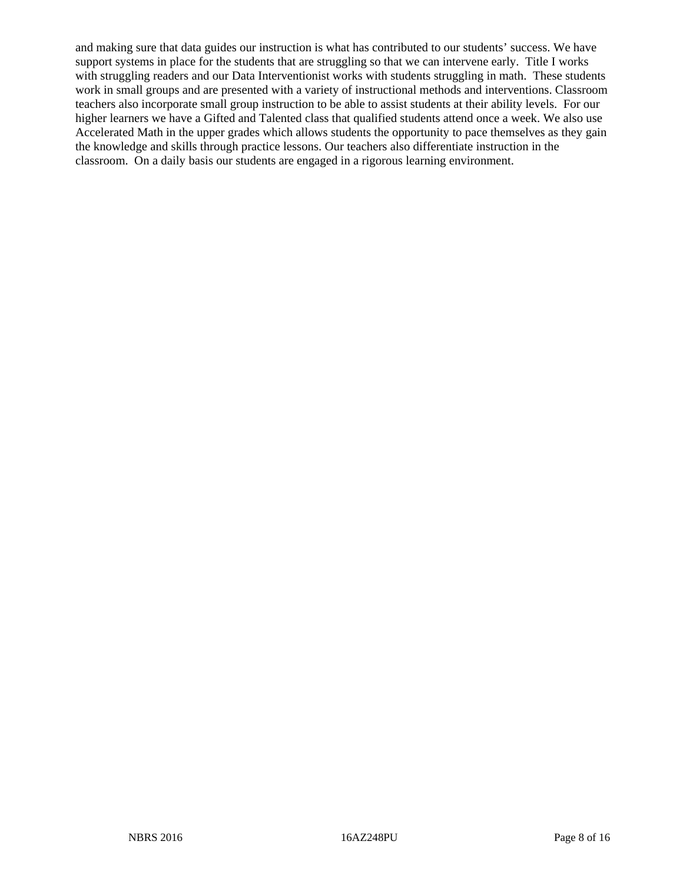and making sure that data guides our instruction is what has contributed to our students' success. We have support systems in place for the students that are struggling so that we can intervene early. Title I works with struggling readers and our Data Interventionist works with students struggling in math. These students work in small groups and are presented with a variety of instructional methods and interventions. Classroom teachers also incorporate small group instruction to be able to assist students at their ability levels. For our higher learners we have a Gifted and Talented class that qualified students attend once a week. We also use Accelerated Math in the upper grades which allows students the opportunity to pace themselves as they gain the knowledge and skills through practice lessons. Our teachers also differentiate instruction in the classroom. On a daily basis our students are engaged in a rigorous learning environment.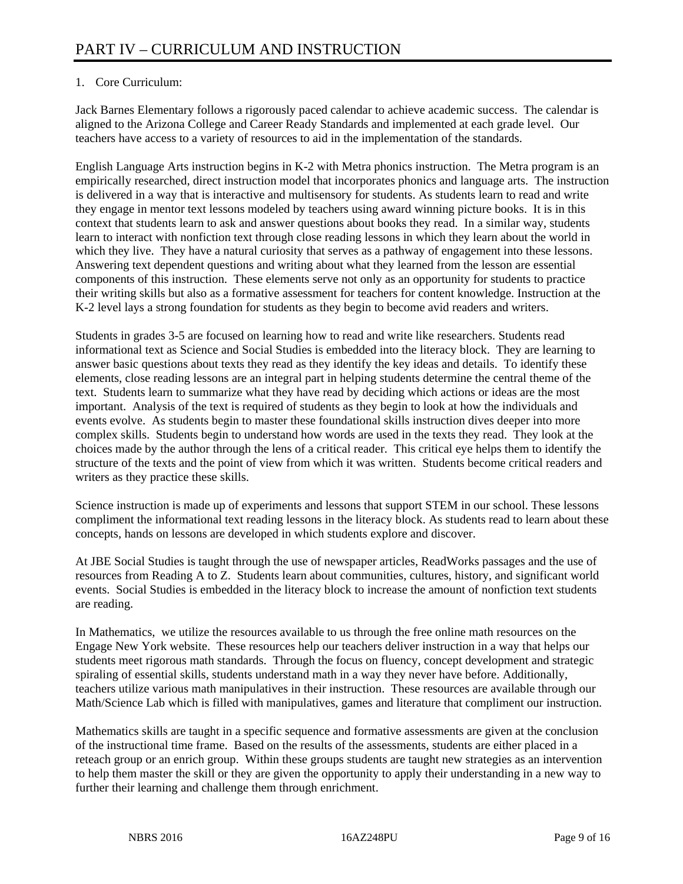### 1. Core Curriculum:

Jack Barnes Elementary follows a rigorously paced calendar to achieve academic success. The calendar is aligned to the Arizona College and Career Ready Standards and implemented at each grade level. Our teachers have access to a variety of resources to aid in the implementation of the standards.

English Language Arts instruction begins in K-2 with Metra phonics instruction. The Metra program is an empirically researched, direct instruction model that incorporates phonics and language arts. The instruction is delivered in a way that is interactive and multisensory for students. As students learn to read and write they engage in mentor text lessons modeled by teachers using award winning picture books. It is in this context that students learn to ask and answer questions about books they read. In a similar way, students learn to interact with nonfiction text through close reading lessons in which they learn about the world in which they live. They have a natural curiosity that serves as a pathway of engagement into these lessons. Answering text dependent questions and writing about what they learned from the lesson are essential components of this instruction. These elements serve not only as an opportunity for students to practice their writing skills but also as a formative assessment for teachers for content knowledge. Instruction at the K-2 level lays a strong foundation for students as they begin to become avid readers and writers.

Students in grades 3-5 are focused on learning how to read and write like researchers. Students read informational text as Science and Social Studies is embedded into the literacy block. They are learning to answer basic questions about texts they read as they identify the key ideas and details. To identify these elements, close reading lessons are an integral part in helping students determine the central theme of the text. Students learn to summarize what they have read by deciding which actions or ideas are the most important. Analysis of the text is required of students as they begin to look at how the individuals and events evolve. As students begin to master these foundational skills instruction dives deeper into more complex skills. Students begin to understand how words are used in the texts they read. They look at the choices made by the author through the lens of a critical reader. This critical eye helps them to identify the structure of the texts and the point of view from which it was written. Students become critical readers and writers as they practice these skills.

Science instruction is made up of experiments and lessons that support STEM in our school. These lessons compliment the informational text reading lessons in the literacy block. As students read to learn about these concepts, hands on lessons are developed in which students explore and discover.

At JBE Social Studies is taught through the use of newspaper articles, ReadWorks passages and the use of resources from Reading A to Z. Students learn about communities, cultures, history, and significant world events. Social Studies is embedded in the literacy block to increase the amount of nonfiction text students are reading.

In Mathematics, we utilize the resources available to us through the free online math resources on the Engage New York website. These resources help our teachers deliver instruction in a way that helps our students meet rigorous math standards. Through the focus on fluency, concept development and strategic spiraling of essential skills, students understand math in a way they never have before. Additionally, teachers utilize various math manipulatives in their instruction. These resources are available through our Math/Science Lab which is filled with manipulatives, games and literature that compliment our instruction.

Mathematics skills are taught in a specific sequence and formative assessments are given at the conclusion of the instructional time frame. Based on the results of the assessments, students are either placed in a reteach group or an enrich group. Within these groups students are taught new strategies as an intervention to help them master the skill or they are given the opportunity to apply their understanding in a new way to further their learning and challenge them through enrichment.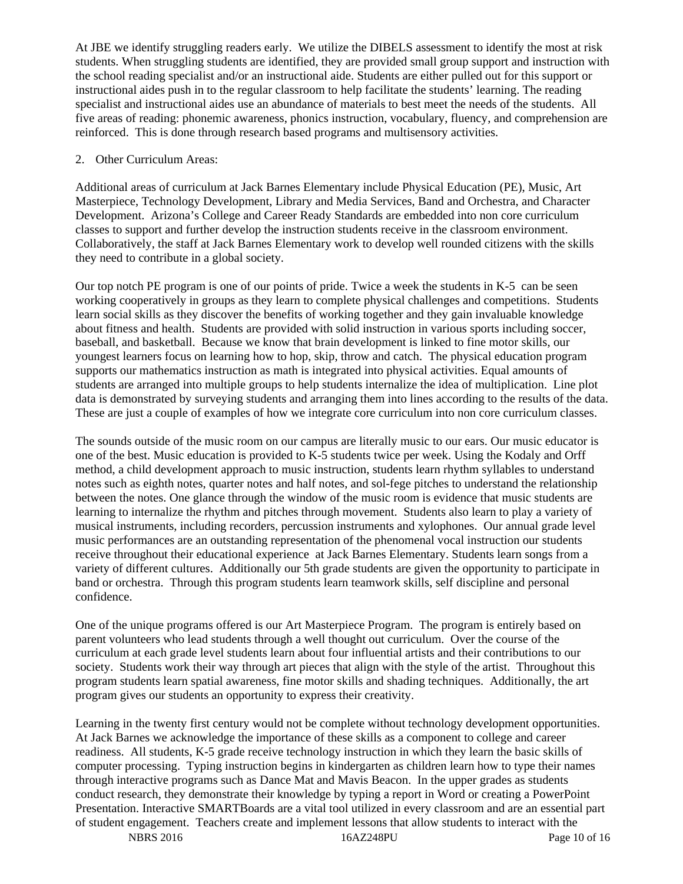At JBE we identify struggling readers early. We utilize the DIBELS assessment to identify the most at risk students. When struggling students are identified, they are provided small group support and instruction with the school reading specialist and/or an instructional aide. Students are either pulled out for this support or instructional aides push in to the regular classroom to help facilitate the students' learning. The reading specialist and instructional aides use an abundance of materials to best meet the needs of the students. All five areas of reading: phonemic awareness, phonics instruction, vocabulary, fluency, and comprehension are reinforced. This is done through research based programs and multisensory activities.

#### 2. Other Curriculum Areas:

Additional areas of curriculum at Jack Barnes Elementary include Physical Education (PE), Music, Art Masterpiece, Technology Development, Library and Media Services, Band and Orchestra, and Character Development. Arizona's College and Career Ready Standards are embedded into non core curriculum classes to support and further develop the instruction students receive in the classroom environment. Collaboratively, the staff at Jack Barnes Elementary work to develop well rounded citizens with the skills they need to contribute in a global society.

Our top notch PE program is one of our points of pride. Twice a week the students in K-5 can be seen working cooperatively in groups as they learn to complete physical challenges and competitions. Students learn social skills as they discover the benefits of working together and they gain invaluable knowledge about fitness and health. Students are provided with solid instruction in various sports including soccer, baseball, and basketball. Because we know that brain development is linked to fine motor skills, our youngest learners focus on learning how to hop, skip, throw and catch. The physical education program supports our mathematics instruction as math is integrated into physical activities. Equal amounts of students are arranged into multiple groups to help students internalize the idea of multiplication. Line plot data is demonstrated by surveying students and arranging them into lines according to the results of the data. These are just a couple of examples of how we integrate core curriculum into non core curriculum classes.

The sounds outside of the music room on our campus are literally music to our ears. Our music educator is one of the best. Music education is provided to K-5 students twice per week. Using the Kodaly and Orff method, a child development approach to music instruction, students learn rhythm syllables to understand notes such as eighth notes, quarter notes and half notes, and sol-fege pitches to understand the relationship between the notes. One glance through the window of the music room is evidence that music students are learning to internalize the rhythm and pitches through movement. Students also learn to play a variety of musical instruments, including recorders, percussion instruments and xylophones. Our annual grade level music performances are an outstanding representation of the phenomenal vocal instruction our students receive throughout their educational experience at Jack Barnes Elementary. Students learn songs from a variety of different cultures. Additionally our 5th grade students are given the opportunity to participate in band or orchestra. Through this program students learn teamwork skills, self discipline and personal confidence.

One of the unique programs offered is our Art Masterpiece Program. The program is entirely based on parent volunteers who lead students through a well thought out curriculum. Over the course of the curriculum at each grade level students learn about four influential artists and their contributions to our society. Students work their way through art pieces that align with the style of the artist. Throughout this program students learn spatial awareness, fine motor skills and shading techniques. Additionally, the art program gives our students an opportunity to express their creativity.

Learning in the twenty first century would not be complete without technology development opportunities. At Jack Barnes we acknowledge the importance of these skills as a component to college and career readiness. All students, K-5 grade receive technology instruction in which they learn the basic skills of computer processing. Typing instruction begins in kindergarten as children learn how to type their names through interactive programs such as Dance Mat and Mavis Beacon. In the upper grades as students conduct research, they demonstrate their knowledge by typing a report in Word or creating a PowerPoint Presentation. Interactive SMARTBoards are a vital tool utilized in every classroom and are an essential part of student engagement. Teachers create and implement lessons that allow students to interact with the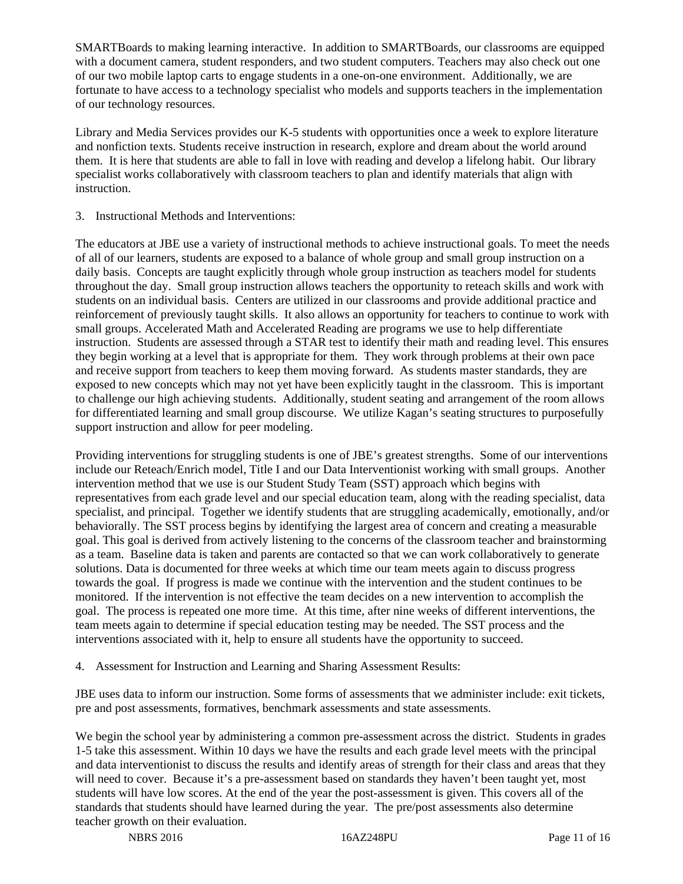SMARTBoards to making learning interactive. In addition to SMARTBoards, our classrooms are equipped with a document camera, student responders, and two student computers. Teachers may also check out one of our two mobile laptop carts to engage students in a one-on-one environment. Additionally, we are fortunate to have access to a technology specialist who models and supports teachers in the implementation of our technology resources.

Library and Media Services provides our K-5 students with opportunities once a week to explore literature and nonfiction texts. Students receive instruction in research, explore and dream about the world around them. It is here that students are able to fall in love with reading and develop a lifelong habit. Our library specialist works collaboratively with classroom teachers to plan and identify materials that align with instruction.

3. Instructional Methods and Interventions:

The educators at JBE use a variety of instructional methods to achieve instructional goals. To meet the needs of all of our learners, students are exposed to a balance of whole group and small group instruction on a daily basis. Concepts are taught explicitly through whole group instruction as teachers model for students throughout the day. Small group instruction allows teachers the opportunity to reteach skills and work with students on an individual basis. Centers are utilized in our classrooms and provide additional practice and reinforcement of previously taught skills. It also allows an opportunity for teachers to continue to work with small groups. Accelerated Math and Accelerated Reading are programs we use to help differentiate instruction. Students are assessed through a STAR test to identify their math and reading level. This ensures they begin working at a level that is appropriate for them. They work through problems at their own pace and receive support from teachers to keep them moving forward. As students master standards, they are exposed to new concepts which may not yet have been explicitly taught in the classroom. This is important to challenge our high achieving students. Additionally, student seating and arrangement of the room allows for differentiated learning and small group discourse. We utilize Kagan's seating structures to purposefully support instruction and allow for peer modeling.

Providing interventions for struggling students is one of JBE's greatest strengths. Some of our interventions include our Reteach/Enrich model, Title I and our Data Interventionist working with small groups. Another intervention method that we use is our Student Study Team (SST) approach which begins with representatives from each grade level and our special education team, along with the reading specialist, data specialist, and principal. Together we identify students that are struggling academically, emotionally, and/or behaviorally. The SST process begins by identifying the largest area of concern and creating a measurable goal. This goal is derived from actively listening to the concerns of the classroom teacher and brainstorming as a team. Baseline data is taken and parents are contacted so that we can work collaboratively to generate solutions. Data is documented for three weeks at which time our team meets again to discuss progress towards the goal. If progress is made we continue with the intervention and the student continues to be monitored. If the intervention is not effective the team decides on a new intervention to accomplish the goal. The process is repeated one more time. At this time, after nine weeks of different interventions, the team meets again to determine if special education testing may be needed. The SST process and the interventions associated with it, help to ensure all students have the opportunity to succeed.

4. Assessment for Instruction and Learning and Sharing Assessment Results:

JBE uses data to inform our instruction. Some forms of assessments that we administer include: exit tickets, pre and post assessments, formatives, benchmark assessments and state assessments.

We begin the school year by administering a common pre-assessment across the district. Students in grades 1-5 take this assessment. Within 10 days we have the results and each grade level meets with the principal and data interventionist to discuss the results and identify areas of strength for their class and areas that they will need to cover. Because it's a pre-assessment based on standards they haven't been taught yet, most students will have low scores. At the end of the year the post-assessment is given. This covers all of the standards that students should have learned during the year. The pre/post assessments also determine teacher growth on their evaluation.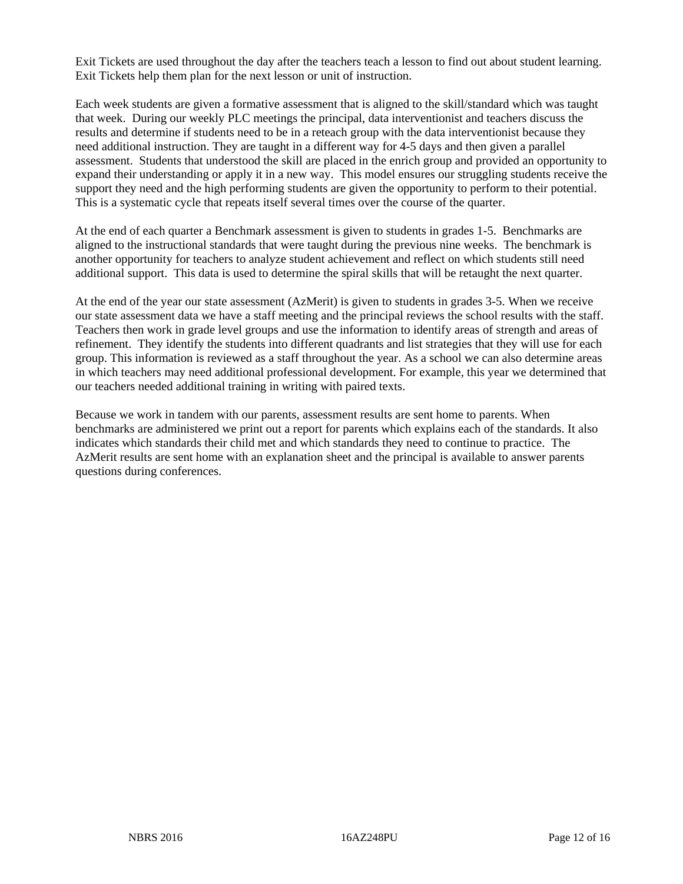Exit Tickets are used throughout the day after the teachers teach a lesson to find out about student learning. Exit Tickets help them plan for the next lesson or unit of instruction.

Each week students are given a formative assessment that is aligned to the skill/standard which was taught that week. During our weekly PLC meetings the principal, data interventionist and teachers discuss the results and determine if students need to be in a reteach group with the data interventionist because they need additional instruction. They are taught in a different way for 4-5 days and then given a parallel assessment. Students that understood the skill are placed in the enrich group and provided an opportunity to expand their understanding or apply it in a new way. This model ensures our struggling students receive the support they need and the high performing students are given the opportunity to perform to their potential. This is a systematic cycle that repeats itself several times over the course of the quarter.

At the end of each quarter a Benchmark assessment is given to students in grades 1-5. Benchmarks are aligned to the instructional standards that were taught during the previous nine weeks. The benchmark is another opportunity for teachers to analyze student achievement and reflect on which students still need additional support. This data is used to determine the spiral skills that will be retaught the next quarter.

At the end of the year our state assessment (AzMerit) is given to students in grades 3-5. When we receive our state assessment data we have a staff meeting and the principal reviews the school results with the staff. Teachers then work in grade level groups and use the information to identify areas of strength and areas of refinement. They identify the students into different quadrants and list strategies that they will use for each group. This information is reviewed as a staff throughout the year. As a school we can also determine areas in which teachers may need additional professional development. For example, this year we determined that our teachers needed additional training in writing with paired texts.

Because we work in tandem with our parents, assessment results are sent home to parents. When benchmarks are administered we print out a report for parents which explains each of the standards. It also indicates which standards their child met and which standards they need to continue to practice. The AzMerit results are sent home with an explanation sheet and the principal is available to answer parents questions during conferences.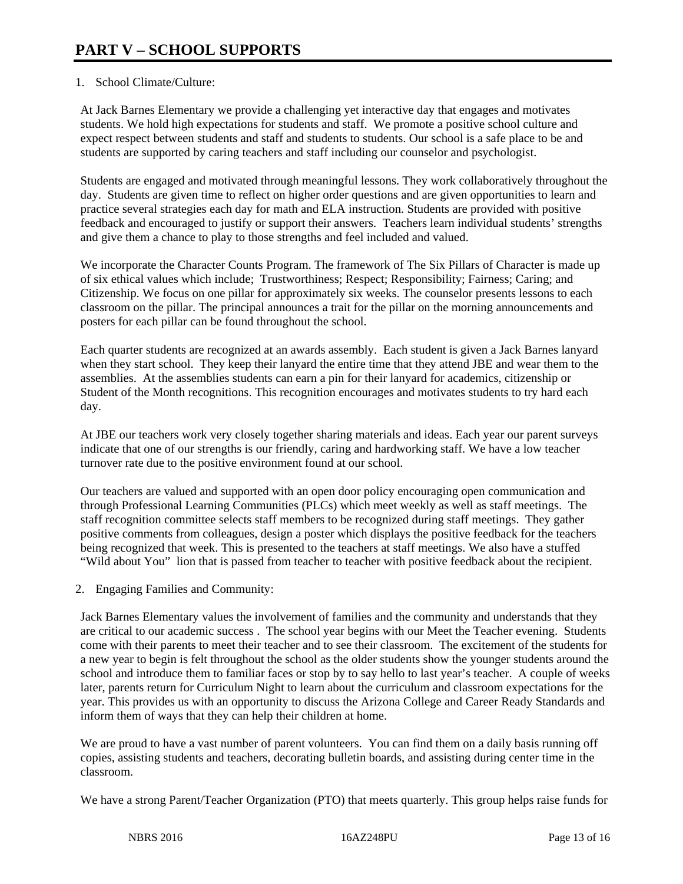#### 1. School Climate/Culture:

At Jack Barnes Elementary we provide a challenging yet interactive day that engages and motivates students. We hold high expectations for students and staff. We promote a positive school culture and expect respect between students and staff and students to students. Our school is a safe place to be and students are supported by caring teachers and staff including our counselor and psychologist.

Students are engaged and motivated through meaningful lessons. They work collaboratively throughout the day. Students are given time to reflect on higher order questions and are given opportunities to learn and practice several strategies each day for math and ELA instruction. Students are provided with positive feedback and encouraged to justify or support their answers. Teachers learn individual students' strengths and give them a chance to play to those strengths and feel included and valued.

We incorporate the Character Counts Program. The framework of The Six Pillars of Character is made up of six ethical values which include; Trustworthiness; Respect; Responsibility; Fairness; Caring; and Citizenship. We focus on one pillar for approximately six weeks. The counselor presents lessons to each classroom on the pillar. The principal announces a trait for the pillar on the morning announcements and posters for each pillar can be found throughout the school.

Each quarter students are recognized at an awards assembly. Each student is given a Jack Barnes lanyard when they start school. They keep their lanyard the entire time that they attend JBE and wear them to the assemblies. At the assemblies students can earn a pin for their lanyard for academics, citizenship or Student of the Month recognitions. This recognition encourages and motivates students to try hard each day.

At JBE our teachers work very closely together sharing materials and ideas. Each year our parent surveys indicate that one of our strengths is our friendly, caring and hardworking staff. We have a low teacher turnover rate due to the positive environment found at our school.

Our teachers are valued and supported with an open door policy encouraging open communication and through Professional Learning Communities (PLCs) which meet weekly as well as staff meetings. The staff recognition committee selects staff members to be recognized during staff meetings. They gather positive comments from colleagues, design a poster which displays the positive feedback for the teachers being recognized that week. This is presented to the teachers at staff meetings. We also have a stuffed "Wild about You" lion that is passed from teacher to teacher with positive feedback about the recipient.

2. Engaging Families and Community:

Jack Barnes Elementary values the involvement of families and the community and understands that they are critical to our academic success . The school year begins with our Meet the Teacher evening. Students come with their parents to meet their teacher and to see their classroom. The excitement of the students for a new year to begin is felt throughout the school as the older students show the younger students around the school and introduce them to familiar faces or stop by to say hello to last year's teacher. A couple of weeks later, parents return for Curriculum Night to learn about the curriculum and classroom expectations for the year. This provides us with an opportunity to discuss the Arizona College and Career Ready Standards and inform them of ways that they can help their children at home.

We are proud to have a vast number of parent volunteers. You can find them on a daily basis running off copies, assisting students and teachers, decorating bulletin boards, and assisting during center time in the classroom.

We have a strong Parent/Teacher Organization (PTO) that meets quarterly. This group helps raise funds for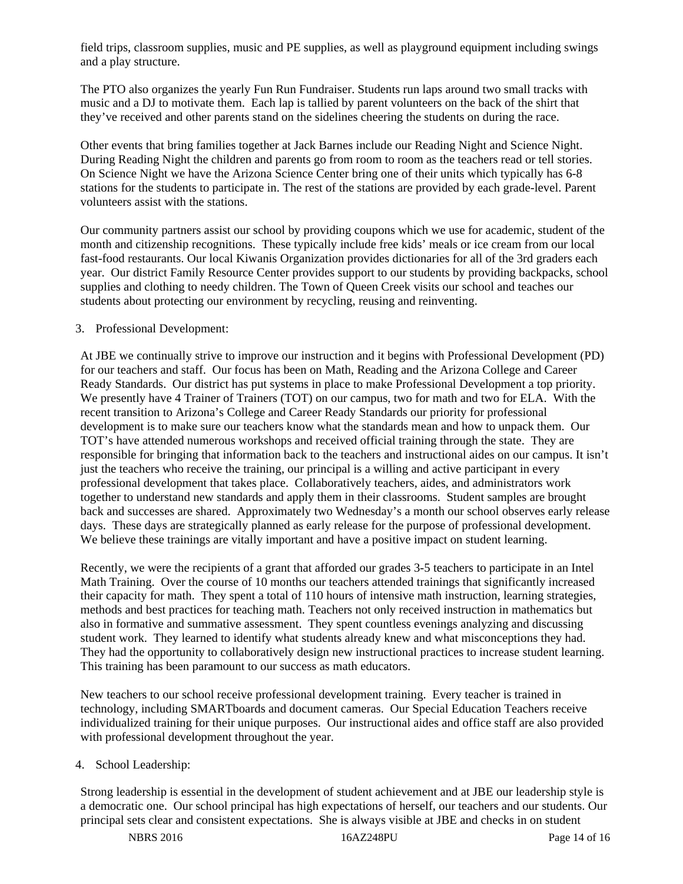field trips, classroom supplies, music and PE supplies, as well as playground equipment including swings and a play structure.

The PTO also organizes the yearly Fun Run Fundraiser. Students run laps around two small tracks with music and a DJ to motivate them. Each lap is tallied by parent volunteers on the back of the shirt that they've received and other parents stand on the sidelines cheering the students on during the race.

Other events that bring families together at Jack Barnes include our Reading Night and Science Night. During Reading Night the children and parents go from room to room as the teachers read or tell stories. On Science Night we have the Arizona Science Center bring one of their units which typically has 6-8 stations for the students to participate in. The rest of the stations are provided by each grade-level. Parent volunteers assist with the stations.

Our community partners assist our school by providing coupons which we use for academic, student of the month and citizenship recognitions. These typically include free kids' meals or ice cream from our local fast-food restaurants. Our local Kiwanis Organization provides dictionaries for all of the 3rd graders each year. Our district Family Resource Center provides support to our students by providing backpacks, school supplies and clothing to needy children. The Town of Queen Creek visits our school and teaches our students about protecting our environment by recycling, reusing and reinventing.

#### 3. Professional Development:

At JBE we continually strive to improve our instruction and it begins with Professional Development (PD) for our teachers and staff. Our focus has been on Math, Reading and the Arizona College and Career Ready Standards. Our district has put systems in place to make Professional Development a top priority. We presently have 4 Trainer of Trainers (TOT) on our campus, two for math and two for ELA. With the recent transition to Arizona's College and Career Ready Standards our priority for professional development is to make sure our teachers know what the standards mean and how to unpack them. Our TOT's have attended numerous workshops and received official training through the state. They are responsible for bringing that information back to the teachers and instructional aides on our campus. It isn't just the teachers who receive the training, our principal is a willing and active participant in every professional development that takes place. Collaboratively teachers, aides, and administrators work together to understand new standards and apply them in their classrooms. Student samples are brought back and successes are shared. Approximately two Wednesday's a month our school observes early release days. These days are strategically planned as early release for the purpose of professional development. We believe these trainings are vitally important and have a positive impact on student learning.

Recently, we were the recipients of a grant that afforded our grades 3-5 teachers to participate in an Intel Math Training. Over the course of 10 months our teachers attended trainings that significantly increased their capacity for math. They spent a total of 110 hours of intensive math instruction, learning strategies, methods and best practices for teaching math. Teachers not only received instruction in mathematics but also in formative and summative assessment. They spent countless evenings analyzing and discussing student work. They learned to identify what students already knew and what misconceptions they had. They had the opportunity to collaboratively design new instructional practices to increase student learning. This training has been paramount to our success as math educators.

New teachers to our school receive professional development training. Every teacher is trained in technology, including SMARTboards and document cameras. Our Special Education Teachers receive individualized training for their unique purposes. Our instructional aides and office staff are also provided with professional development throughout the year.

#### 4. School Leadership:

Strong leadership is essential in the development of student achievement and at JBE our leadership style is a democratic one. Our school principal has high expectations of herself, our teachers and our students. Our principal sets clear and consistent expectations. She is always visible at JBE and checks in on student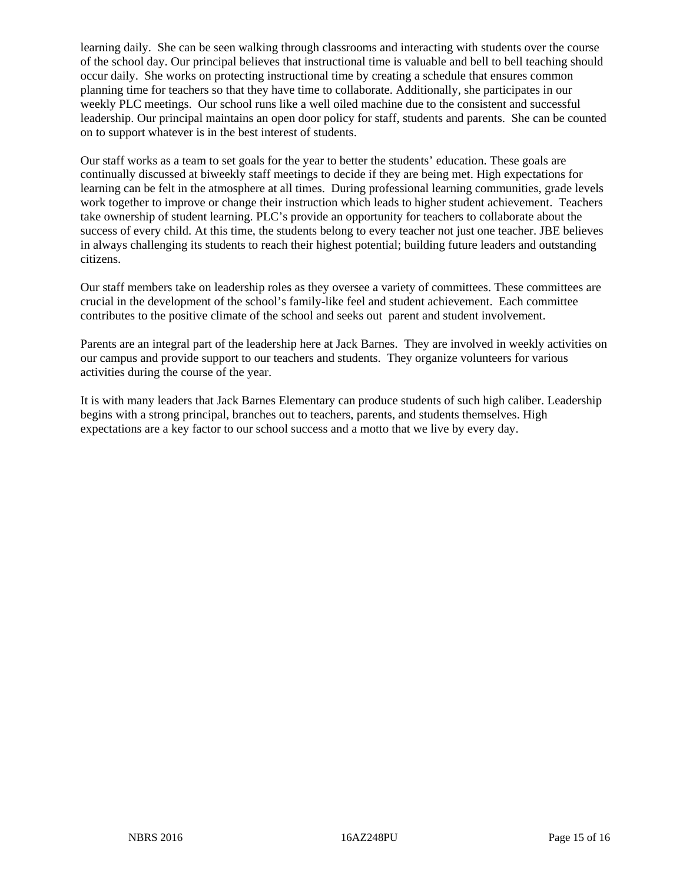learning daily. She can be seen walking through classrooms and interacting with students over the course of the school day. Our principal believes that instructional time is valuable and bell to bell teaching should occur daily. She works on protecting instructional time by creating a schedule that ensures common planning time for teachers so that they have time to collaborate. Additionally, she participates in our weekly PLC meetings. Our school runs like a well oiled machine due to the consistent and successful leadership. Our principal maintains an open door policy for staff, students and parents. She can be counted on to support whatever is in the best interest of students.

Our staff works as a team to set goals for the year to better the students' education. These goals are continually discussed at biweekly staff meetings to decide if they are being met. High expectations for learning can be felt in the atmosphere at all times. During professional learning communities, grade levels work together to improve or change their instruction which leads to higher student achievement. Teachers take ownership of student learning. PLC's provide an opportunity for teachers to collaborate about the success of every child. At this time, the students belong to every teacher not just one teacher. JBE believes in always challenging its students to reach their highest potential; building future leaders and outstanding citizens.

Our staff members take on leadership roles as they oversee a variety of committees. These committees are crucial in the development of the school's family-like feel and student achievement. Each committee contributes to the positive climate of the school and seeks out parent and student involvement.

Parents are an integral part of the leadership here at Jack Barnes. They are involved in weekly activities on our campus and provide support to our teachers and students. They organize volunteers for various activities during the course of the year.

It is with many leaders that Jack Barnes Elementary can produce students of such high caliber. Leadership begins with a strong principal, branches out to teachers, parents, and students themselves. High expectations are a key factor to our school success and a motto that we live by every day.